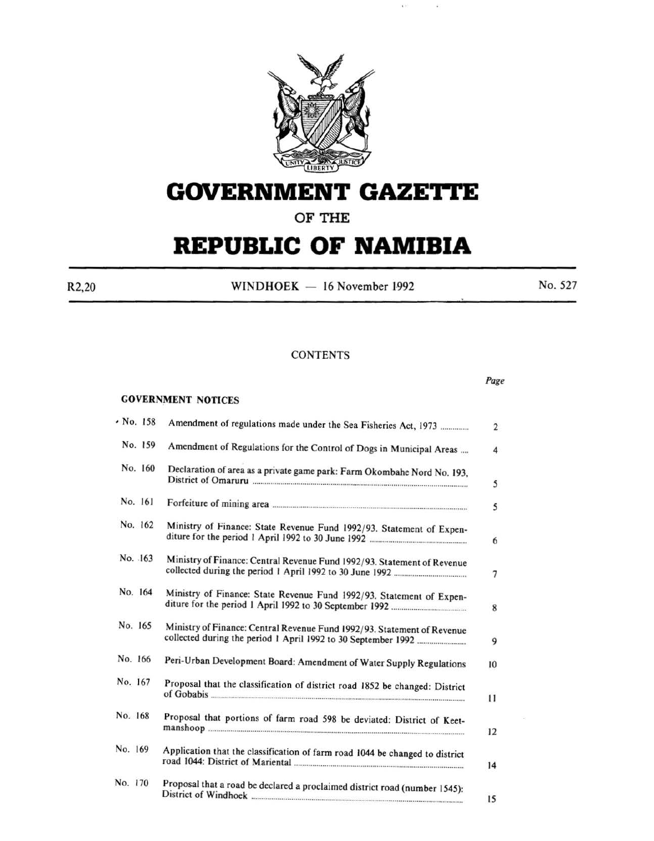

# **GOVERNMENT GAZETTE**

**OF THE** 

# **REPUBLIC OF NAMIBIA**

R2,20 WINDHOEK  $- 16$  November 1992 No. 527

# **CONTENTS**

#### GOVERNMENT NOTICES

| $\cdot$ No. 158 | Amendment of regulations made under the Sea Fisheries Act, 1973              |
|-----------------|------------------------------------------------------------------------------|
| No. 159         | Amendment of Regulations for the Control of Dogs in Municipal Areas          |
| No. 160         | Declaration of area as a private game park: Farm Okombahe Nord No. 193,      |
| No. 161         |                                                                              |
| No. 162         | Ministry of Finance: State Revenue Fund 1992/93. Statement of Expen-         |
| No. 163         | Ministry of Finance: Central Revenue Fund 1992/93. Statement of Revenue      |
| No. 164         | Ministry of Finance: State Revenue Fund 1992/93. Statement of Expen-         |
| No. 165         | Ministry of Finance: Central Revenue Fund 1992/93. Statement of Revenue      |
| No. 166         | Peri-Urban Development Board: Amendment of Water Supply Regulations          |
| No. 167         | Proposal that the classification of district road 1852 be changed: District  |
| No. 168         | Proposal that portions of farm road 598 be deviated: District of Keet-       |
| No. 169         | Application that the classification of farm road 1044 be changed to district |
| No. 170         | Proposal that a road be declared a proclaimed district road (number 1545):   |
|                 |                                                                              |

*Page*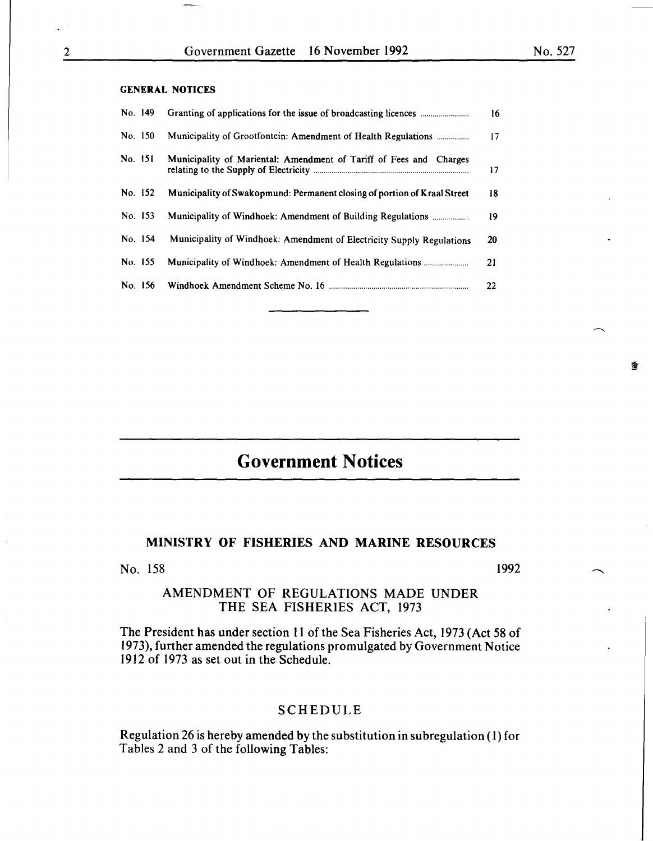畫

#### GENERAL NOTICES

| No. 149 |                                                                          | 16 |
|---------|--------------------------------------------------------------------------|----|
| No. 150 | Municipality of Grootfontein: Amendment of Health Regulations            | 17 |
| No. 151 | Municipality of Mariental: Amendment of Tariff of Fees and Charges       | 17 |
| No. 152 | Municipality of Swakopmund: Permanent closing of portion of Kraal Street | 18 |
| No. 153 | Municipality of Windhoek: Amendment of Building Regulations              | 19 |
| No. 154 | Municipality of Windhoek: Amendment of Electricity Supply Regulations    | 20 |
| No. 155 | Municipality of Windhoek: Amendment of Health Regulations                | 21 |
| No. 156 |                                                                          | 22 |
|         |                                                                          |    |

# **Government Notices**

# MINISTRY OF FISHERIES AND MARINE RESOURCES

No. 158

#### 1992

# AMENDMENT OF REGULATIONS MADE UNDER THE SEA FISHERIES ACT, 1973

The President has under section 11 of the Sea Fisheries Act, 1973 (Act 58 of 1973), further amended the regulations promulgated by Government Notice 1912 of 1973 as set out in the Schedule.

#### SCHEDULE

Regulation 26 is hereby amended by the substitution in subregulation ( 1) for Tables 2 and 3 of the following Tables: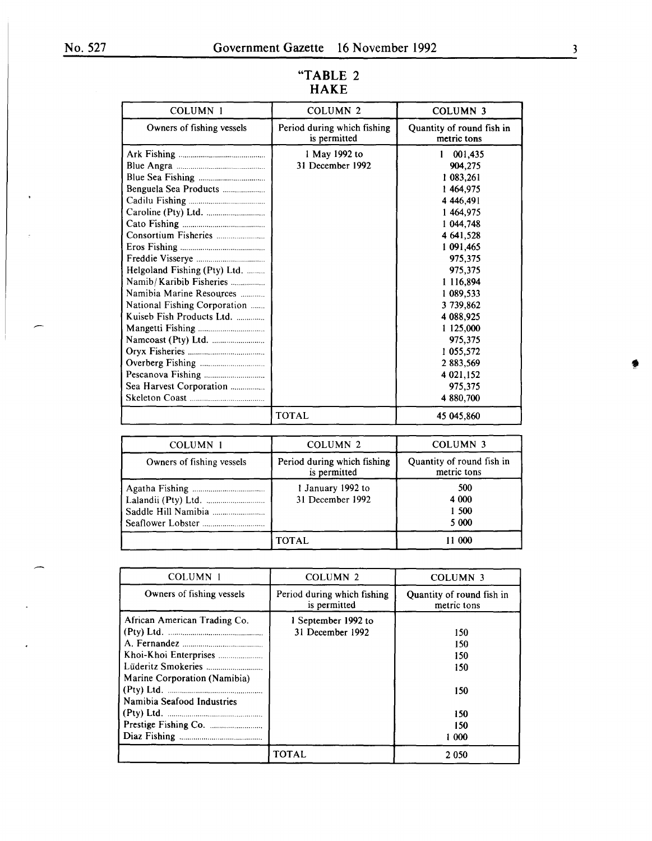| COLUMN 1                                                                                                                                                                  | COLUMN <sub>2</sub>                         | <b>COLUMN 3</b>                                                                                                                                                                                                          |
|---------------------------------------------------------------------------------------------------------------------------------------------------------------------------|---------------------------------------------|--------------------------------------------------------------------------------------------------------------------------------------------------------------------------------------------------------------------------|
| Owners of fishing vessels                                                                                                                                                 | Period during which fishing<br>is permitted | Quantity of round fish in<br>metric tons                                                                                                                                                                                 |
| Benguela Sea Products<br>Helgoland Fishing (Pty) Ltd.<br>Namib/Karibib Fisheries<br>Namibia Marine Resources<br>National Fishing Corporation<br>Kuiseb Fish Products Ltd. | 1 May 1992 to<br>31 December 1992           | 001,435<br>1<br>904,275<br>1 083,261<br>1464,975<br>4 4 4 6, 4 9 1<br>1 464,975<br>1 044,748<br>4 641,528<br>1 091,465<br>975,375<br>975,375<br>1 116,894<br>1 089,533<br>3 739,862<br>4 088,925<br>1 125,000<br>975,375 |
|                                                                                                                                                                           |                                             | 1 055,572<br>2 883,569                                                                                                                                                                                                   |
| Sea Harvest Corporation                                                                                                                                                   |                                             | 4 021,152<br>975,375                                                                                                                                                                                                     |
|                                                                                                                                                                           | <b>TOTAL</b>                                | 4 880,700<br>45 045,860                                                                                                                                                                                                  |

# **"TABLE** 2 **HAKE**

| COLUMN 1                  | COLUMN <sub>2</sub>                         | <b>COLUMN 3</b>                          |
|---------------------------|---------------------------------------------|------------------------------------------|
| Owners of fishing vessels | Period during which fishing<br>is permitted | Quantity of round fish in<br>metric tons |
|                           | 1 January 1992 to<br>31 December 1992       | 500<br>4 0 0 0<br>1 500<br>5 0 0 0       |
|                           | <b>TOTAL</b>                                | 11 000                                   |

| <b>COLUMN 1</b>                                                                            | <b>COLUMN 2</b>                             | <b>COLUMN 3</b>                                        |
|--------------------------------------------------------------------------------------------|---------------------------------------------|--------------------------------------------------------|
| Owners of fishing vessels                                                                  | Period during which fishing<br>is permitted | Quantity of round fish in<br>metric tons               |
| African American Trading Co.<br>Marine Corporation (Namibia)<br>Namibia Seafood Industries | 1 September 1992 to<br>31 December 1992     | 150<br>150<br>150<br>150<br>150<br>150<br>150<br>1 000 |
|                                                                                            | <b>TOTAL</b>                                | 2 0 5 0                                                |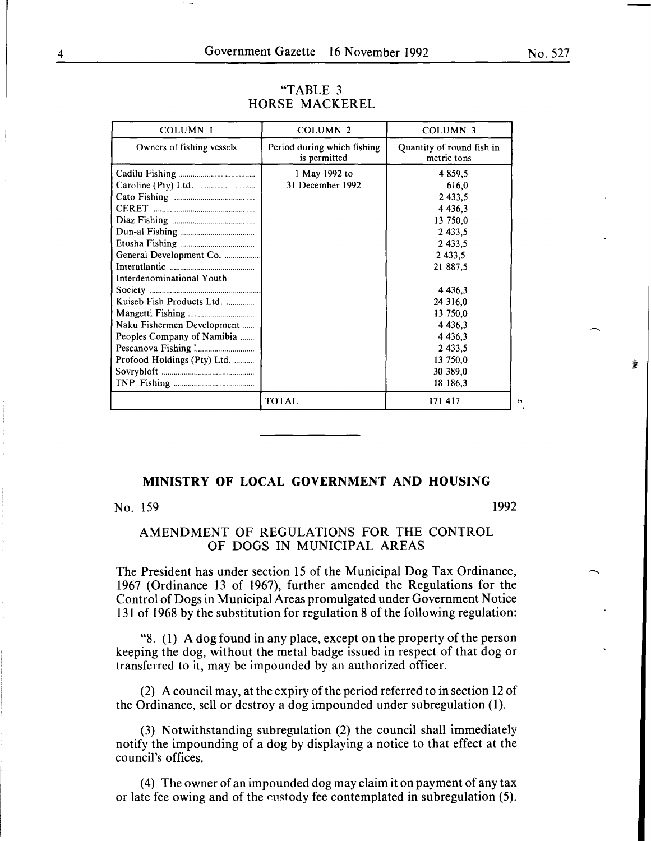| <b>COLUMN 1</b>                                                                                                                                   | <b>COLUMN 2</b>                             | <b>COLUMN 3</b>                                                                                                    |
|---------------------------------------------------------------------------------------------------------------------------------------------------|---------------------------------------------|--------------------------------------------------------------------------------------------------------------------|
| Owners of fishing vessels                                                                                                                         | Period during which fishing<br>is permitted | Quantity of round fish in<br>metric tons                                                                           |
| General Development Co.                                                                                                                           | 1 May 1992 to<br>31 December 1992           | 4 8 5 9 5<br>616,0<br>2 4 3 3 , 5<br>4 4 3 6 , 3<br>13 750,0<br>2 4 3 3 , 5<br>2 433.5<br>2 4 3 3 .5<br>21 887,5   |
| Interdenominational Youth<br>Kuiseb Fish Products Ltd.<br>Naku Fishermen Development<br>Peoples Company of Namibia<br>Profood Holdings (Pty) Ltd. |                                             | 4 4 3 6 3<br>24 316,0<br>13 750,0<br>4 4 3 6 , 3<br>4 4 3 6 , 3<br>2 4 3 3 , 5<br>13 750,0<br>30 389,0<br>18 186,3 |
|                                                                                                                                                   | <b>TOTAL</b>                                | 171 417                                                                                                            |

#### "TABLE 3 HORSE MACKEREL

# **MINISTRY OF LOCAL GOVERNMENT AND HOUSING**

# No. 159 1992

# AMENDMENT OF REGULATIONS FOR THE CONTROL OF DOGS IN MUNICIPAL AREAS

The President has under section 15 of the Municipal Dog Tax Ordinance, 1967 (Ordinance 13 of 1967), further amended the Regulations for the Control of Dogs in Municipal Areas promulgated under Government Notice 131 of 1968 by the substitution for regulation 8 of the following regulation:

"8. (1) A dog found in any place, except on the property of the person keeping the dog, without the metal badge issued in respect of that dog or transferred to it, may be impounded by an authorized officer.

(2) A council may, at the expiry of the period referred to in section 12 of the Ordinance, sell or destroy a dog impounded under subregulation (1).

(3) Notwithstanding subregulation (2) the council shall immediately notify the impounding of a dog by displaying a notice to that effect at the council's offices.

( 4) The owner of an impounded dog may claim it on payment of any tax or late fee owing and of the custody fee contemplated in subregulation (5).

No. 527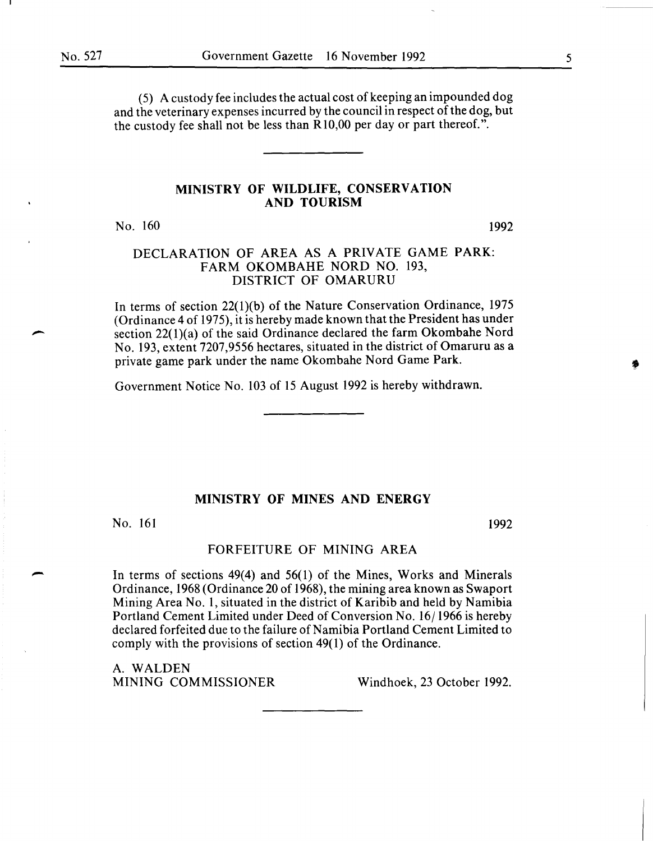( 5) A custody fee includes the actual cost of keeping an impounded dog and the veterinary expenses incurred by the council in respect of the dog, but the custody fee shall not be less than RIO,OO per day or part thereof.".

# MINISTRY OF WILDLIFE, CONSERVATION AND TOURISM

No. 160

1992

# DECLARATION OF AREA AS A PRIVATE GAME PARK: FARM OKOMBAHE NORD NO. 193, DISTRICT OF OMARURU

In terms of section 22(l)(b) of the Nature Conservation Ordinance, 1975 (Ordinance 4 of 1975), it is hereby made known that the President has under section 22(1)(a) of the said Ordinance declared the farm Okombahe Nord No. 193, extent 7207,9556 hectares, situated in the district of Omaruru as a private game park under the name Okombahe Nord Game Park.

Government Notice No. 103 of 15 August 1992 is hereby withdrawn.

#### MINISTRY OF MINES AND ENERGY

No. 161 1992

-

#### FORFEITURE OF MINING AREA

In terms of sections 49(4) and 56(1) of the Mines, Works and Minerals Ordinance, 1968 (Ordinance 20 of 1968), the mining area known as Swaport Mining Area No. 1, situated in the district of Karibib and held by Namibia Portland Cement Limited under Deed of Conversion No. 16/1966 is hereby declared forfeited due to the failure of Namibia Portland Cement Limited to comply with the provisions of section 49(1) of the Ordinance.

A. WALDEN MINING COMMISSIONER Windhoek, 23 October 1992.

5

 $\bullet$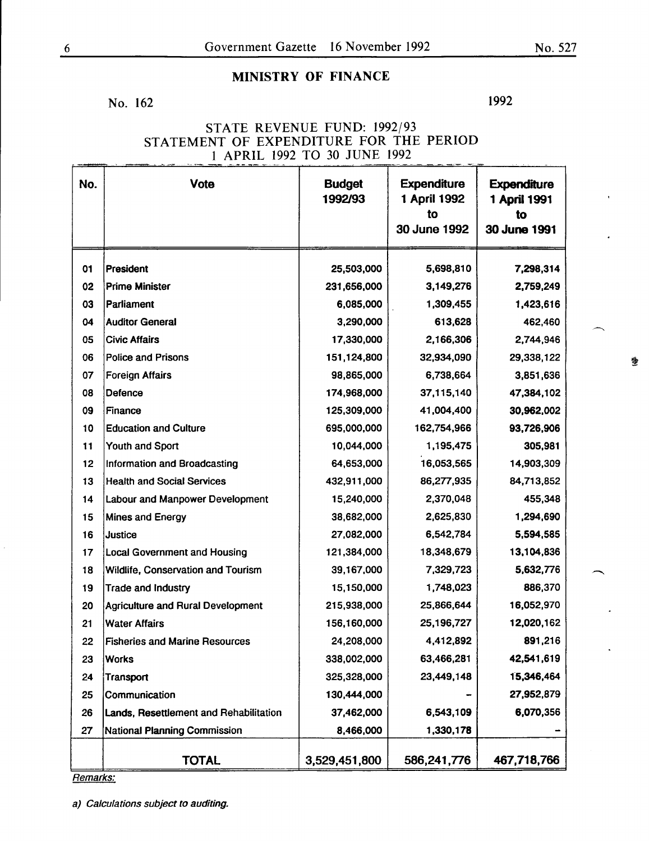No. 162

1992

# STATE REVENUE FUND: 1992/93 STATEMENT OF EXPENDITURE FOR THE PERIOD 1 APRIL 1992 TO 30 JUNE 1992

| No. | <b>Vote</b>                              | <b>Budget</b><br>1992/93 | <b>Expenditure</b><br>1 April 1992<br>to<br>30 June 1992 | <b>Expenditure</b><br>1 April 1991<br>to<br>30 June 1991 |
|-----|------------------------------------------|--------------------------|----------------------------------------------------------|----------------------------------------------------------|
| 01  | President                                | 25,503,000               | 5,698,810                                                | 7,298,314                                                |
| 02  | <b>Prime Minister</b>                    | 231,656,000              | 3,149,276                                                | 2,759,249                                                |
| 03  | Parliament                               | 6,085,000                | 1,309,455                                                | 1,423,616                                                |
| 04  | <b>Auditor General</b>                   | 3,290,000                | 613,628                                                  | 462,460                                                  |
| 05  | <b>Civic Affairs</b>                     | 17,330,000               | 2,166,306                                                | 2,744,946                                                |
| 06  | <b>Police and Prisons</b>                | 151,124,800              | 32,934,090                                               | 29,338,122                                               |
| 07  | <b>Foreign Affairs</b>                   | 98,865,000               | 6,738,664                                                | 3,851,636                                                |
| 08  | Defence                                  | 174,968,000              | 37,115,140                                               | 47,384,102                                               |
| 09  | Finance                                  | 125,309,000              | 41,004,400                                               | 30,962,002                                               |
| 10  | <b>Education and Culture</b>             | 695,000,000              | 162,754,966                                              | 93,726,906                                               |
| 11  | Youth and Sport                          | 10,044,000               | 1,195,475                                                | 305,981                                                  |
| 12  | Information and Broadcasting             | 64,653,000               | 16,053,565                                               | 14,903,309                                               |
| 13  | <b>Health and Social Services</b>        | 432,911,000              | 86,277,935                                               | 84,713,852                                               |
| 14  | <b>Labour and Manpower Development</b>   | 15,240,000               | 2,370,048                                                | 455,348                                                  |
| 15  | <b>Mines and Energy</b>                  | 38,682,000               | 2,625,830                                                | 1,294,690                                                |
| 16  | Justice                                  | 27,082,000               | 6,542,784                                                | 5,594,585                                                |
| 17  | <b>Local Government and Housing</b>      | 121,384,000              | 18,348,679                                               | 13,104,836                                               |
| 18  | Wildlife, Conservation and Tourism       | 39,167,000               | 7,329,723                                                | 5,632,776                                                |
| 19  | <b>Trade and Industry</b>                | 15,150,000               | 1,748,023                                                | 886,370                                                  |
| 20  | <b>Agriculture and Rural Development</b> | 215,938,000              | 25,866,644                                               | 16,052,970                                               |
| 21  | <b>Water Affairs</b>                     | 156,160,000              | 25,196,727                                               | 12,020,162                                               |
| 22  | <b>Fisheries and Marine Resources</b>    | 24,208,000               | 4,412,892                                                | 891,216                                                  |
| 23  | <b>Works</b>                             | 338,002,000              | 63,466,281                                               | 42,541,619                                               |
| 24  | <b>Transport</b>                         | 325,328,000              | 23,449,148                                               | 15,346,464                                               |
| 25  | Communication                            | 130,444,000              |                                                          | 27,952,879                                               |
| 26  | Lands, Resettlement and Rehabilitation   | 37,462,000               | 6,543,109                                                | 6,070,356                                                |
| 27  | <b>National Planning Commission</b>      | 8,466,000                | 1,330,178                                                |                                                          |
|     | <b>TOTAL</b>                             | 3,529,451,800            | 586,241,776                                              | 467,718,766                                              |

a) Calculations subject to auditing.

豐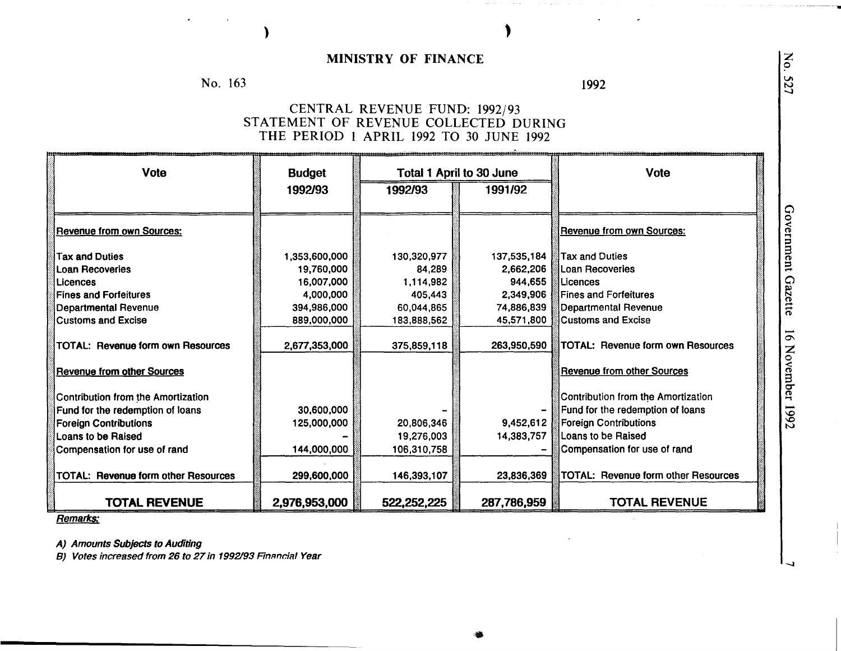No. 163

)

1992

# CENTRAL REVENUE FUND: 1992/93 STATEMENT OF REVENUE COLLECTED DURING THE PERIOD 1 APRIL 1992 TO 30 JUNE 1992

| Vote                                       | <b>Budget</b> | <b>Total 1 April to 30 June</b> |             | <b>Vote</b>                         |
|--------------------------------------------|---------------|---------------------------------|-------------|-------------------------------------|
|                                            | 1992/93       | 1992/93                         | 1991/92     |                                     |
| <b>Revenue from own Sources:</b>           |               |                                 |             | <b>Revenue from own Sources:</b>    |
| <b>Tax and Duties</b>                      | 1,353,600,000 | 130,320,977                     | 137,535,184 | <b>Tax and Duties</b>               |
| Loan Recoveries                            | 19,760,000    | 84.289                          | 2,662,206   | Loan Recoveries                     |
| Licences                                   | 16,007,000    | 1,114,982                       | 944,655     | Licences                            |
| <b>Fines and Forfeitures</b>               | 4,000,000     | 405,443                         | 2,349,906   | <b>Fines and Forfeitures</b>        |
| <b>Departmental Revenue</b>                | 394,986,000   | 60,044,865                      | 74,886,839  | <b>Departmental Revenue</b>         |
| <b>Customs and Excise</b>                  | 889,000,000   | 183,888,562                     | 45,571,800  | <b>Customs and Excise</b>           |
| <b>TOTAL: Revenue form own Resources</b>   | 2,677,353,000 | 375,859,118                     | 263,950,590 | TOTAL: Revenue form own Resources   |
| <b>Revenue from other Sources</b>          |               |                                 |             | <b>Revenue from other Sources</b>   |
| Contribution from the Amortization         |               |                                 |             | Contribution from the Amortization  |
| Fund for the redemption of loans           | 30,600,000    |                                 |             | Fund for the redemption of loans    |
| <b>Foreign Contributions</b>               | 125,000,000   | 20,806,346                      | 9,452,612   | <b>Foreign Contributions</b>        |
| <b>Loans to be Raised</b>                  |               | 19,276,003                      | 14,383,757  | Loans to be Raised                  |
| Compensation for use of rand               | 144,000,000   | 106,310,758                     |             | Compensation for use of rand        |
| <b>TOTAL: Revenue form other Resources</b> | 299,600,000   | 146,393,107                     | 23,836,369  | TOTAL: Revenue form other Resources |
| <b>TOTAL REVENUE</b>                       | 2,976,953,000 | 522,252,225                     | 287,786,959 | <b>TOTAL REVENUE</b>                |

•

Remarks:

A) Amounts Subjects to Auditing

B) Votes increased from 26 to 27 in 1992193 Fimmcial Year

Governi  $ent$  $\boldsymbol{\Omega}$ ette -*0\*  Nover mber per 1992

No.

--- --------..

527

-.I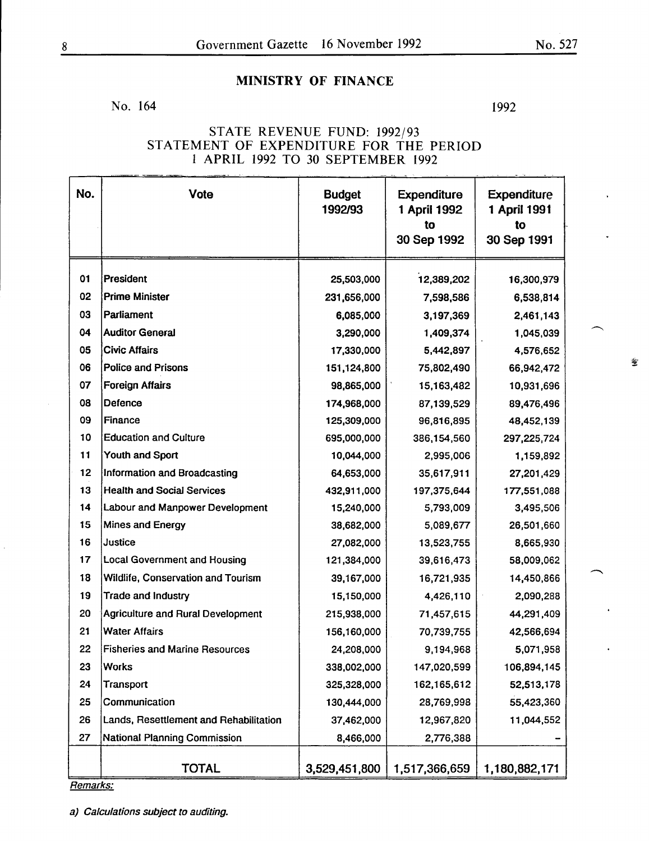No. 164

1992

# STATE REVENUE FUND: 1992/93 STATEMENT OF EXPENDITURE FOR THE PERIOD 1 APRIL 1992 TO 30 SEPTEMBER 1992

|          | No.<br><b>Vote</b><br><b>Budget</b><br><b>Expenditure</b><br><b>Expenditure</b> |               |               |               |  |  |  |
|----------|---------------------------------------------------------------------------------|---------------|---------------|---------------|--|--|--|
|          |                                                                                 | 1992/93       | 1 April 1992  | 1 April 1991  |  |  |  |
|          |                                                                                 |               | to            | to            |  |  |  |
|          |                                                                                 |               | 30 Sep 1992   | 30 Sep 1991   |  |  |  |
| 01       | President                                                                       | 25,503,000    | 12,389,202    | 16,300,979    |  |  |  |
| 02       | <b>Prime Minister</b>                                                           | 231,656,000   | 7,598,586     | 6,538,814     |  |  |  |
| 03       | Parliament                                                                      | 6,085,000     | 3,197,369     | 2,461,143     |  |  |  |
| 04       | <b>Auditor General</b>                                                          | 3,290,000     | 1,409,374     | 1,045,039     |  |  |  |
| 05       | <b>Civic Affairs</b>                                                            | 17,330,000    | 5,442,897     | 4,576,652     |  |  |  |
| 06       | <b>Police and Prisons</b>                                                       | 151,124,800   | 75,802,490    | 66,942,472    |  |  |  |
| 07       | <b>Foreign Affairs</b>                                                          | 98,865,000    | 15,163,482    | 10,931,696    |  |  |  |
| 08       | Defence                                                                         | 174,968,000   | 87,139,529    | 89,476,496    |  |  |  |
| 09       | Finance                                                                         | 125,309,000   | 96,816,895    | 48,452,139    |  |  |  |
| 10       | <b>Education and Culture</b>                                                    | 695,000,000   | 386,154,560   | 297,225,724   |  |  |  |
| 11       | Youth and Sport                                                                 | 10,044,000    | 2,995,006     | 1,159,892     |  |  |  |
| 12       | Information and Broadcasting                                                    | 64,653,000    | 35,617,911    | 27,201,429    |  |  |  |
| 13       | <b>Health and Social Services</b>                                               | 432,911,000   | 197,375,644   | 177,551,088   |  |  |  |
| 14       | <b>Labour and Manpower Development</b>                                          | 15,240,000    | 5,793,009     | 3,495,506     |  |  |  |
| 15       | <b>Mines and Energy</b>                                                         | 38,682,000    | 5,089,677     | 26,501,660    |  |  |  |
| 16       | Justice                                                                         | 27,082,000    | 13,523,755    | 8,665,930     |  |  |  |
| 17       | <b>Local Government and Housing</b>                                             | 121,384,000   | 39,616,473    | 58,009,062    |  |  |  |
| 18       | Wildlife, Conservation and Tourism                                              | 39,167,000    | 16,721,935    | 14,450,866    |  |  |  |
| 19       | Trade and Industry                                                              | 15,150,000    | 4,426,110     | 2,090,288     |  |  |  |
| 20       | <b>Agriculture and Rural Development</b>                                        | 215,938,000   | 71,457,615    | 44,291,409    |  |  |  |
| 21       | <b>Water Affairs</b>                                                            | 156,160,000   | 70,739,755    | 42,566,694    |  |  |  |
| 22       | <b>Fisheries and Marine Resources</b>                                           | 24,208,000    | 9,194,968     | 5,071,958     |  |  |  |
| 23       | <b>Works</b>                                                                    | 338,002,000   | 147,020,599   | 106,894,145   |  |  |  |
| 24       | Transport                                                                       | 325,328,000   | 162, 165, 612 | 52,513,178    |  |  |  |
| 25       | Communication                                                                   | 130,444,000   | 28,769,998    | 55,423,360    |  |  |  |
| 26       | Lands, Resettlement and Rehabilitation                                          | 37,462,000    | 12,967,820    | 11,044,552    |  |  |  |
| 27       | National Planning Commission                                                    | 8,466,000     | 2,776,388     |               |  |  |  |
|          |                                                                                 |               |               |               |  |  |  |
|          | <b>TOTAL</b>                                                                    | 3,529,451,800 | 1,517,366,659 | 1,180,882,171 |  |  |  |
| Remarks: |                                                                                 |               |               |               |  |  |  |

 $\mathcal{L}$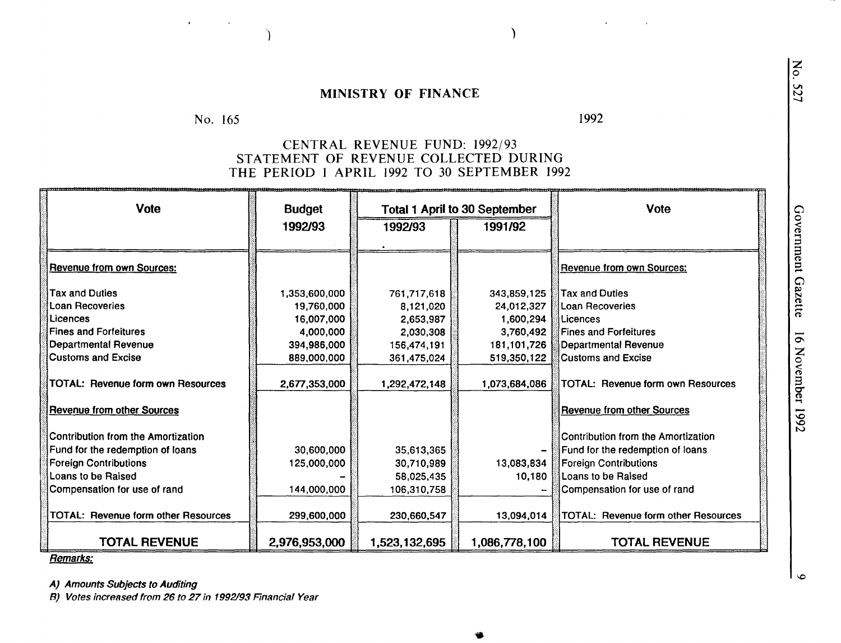) and the contract of  $\overline{\phantom{a}}$ 

#### No. 165 1992

# CENTRAL REVENUE FUND: 1992/93 STATEMENT OF REVENUE COLLECTED DURING THE PERIOD I APRIL 1992 TO 30 SEPTEMBER 1992

| <b>Vote</b>                                                            | <b>Budget</b> |               | <b>Total 1 April to 30 September</b> | <b>Vote</b>                                                            |
|------------------------------------------------------------------------|---------------|---------------|--------------------------------------|------------------------------------------------------------------------|
|                                                                        | 1992/93       | 1992/93       | 1991/92                              |                                                                        |
|                                                                        |               |               |                                      |                                                                        |
| <b>Revenue from own Sources:</b>                                       |               |               |                                      | Revenue from own Sources:                                              |
| <b>Tax and Duties</b>                                                  | 1,353,600,000 | 761,717,618   | 343,859,125                          | Tax and Duties                                                         |
| <b>Loan Recoveries</b>                                                 | 19,760,000    | 8,121,020     | 24,012,327                           | <b>Loan Recoveries</b>                                                 |
| Licences                                                               | 16,007,000    | 2,653,987     | 1,600,294                            | Licences                                                               |
| <b>Fines and Forfeitures</b>                                           | 4,000,000     | 2,030,308     | 3,760,492                            | <b>Fines and Forfeitures</b>                                           |
| Departmental Revenue                                                   | 394,986,000   | 156,474,191   | 181, 101, 726                        | <b>Departmental Revenue</b>                                            |
| Customs and Excise                                                     | 889,000,000   | 361,475,024   | 519,350,122                          | <b>Customs and Excise</b>                                              |
| <b>TOTAL: Revenue form own Resources</b>                               | 2,677,353,000 | 1,292,472,148 | 1,073,684,086                        | TOTAL: Revenue form own Resources                                      |
| <b>Revenue from other Sources</b>                                      |               |               |                                      | <b>Revenue from other Sources</b>                                      |
| Contribution from the Amortization<br>Fund for the redemption of loans | 30,600,000    | 35,613,365    |                                      | Contribution from the Amortization<br>Fund for the redemption of loans |
| <b>Foreign Contributions</b>                                           | 125,000,000   | 30,710,989    | 13,083,834                           | <b>Foreign Contributions</b>                                           |
| Loans to be Raised                                                     |               | 58,025,435    | 10,180                               | Loans to be Raised                                                     |
| Compensation for use of rand                                           | 144,000,000   | 106,310,758   |                                      | Compensation for use of rand                                           |
| TOTAL: Revenue form other Resources                                    | 299,600,000   | 230,660,547   | 13,094,014                           | TOTAL: Revenue form other Resources                                    |
| <b>TOTAL REVENUE</b>                                                   | 2,976,953,000 | 1,523,132,695 | 1,086,778,100                        | <b>TOTAL REVENUE</b>                                                   |

..

Remarks:

A) Amounts Subjects to Auditing

B) Votes increased from 26 to 27 in 1992/93 Financial Year

z 0

527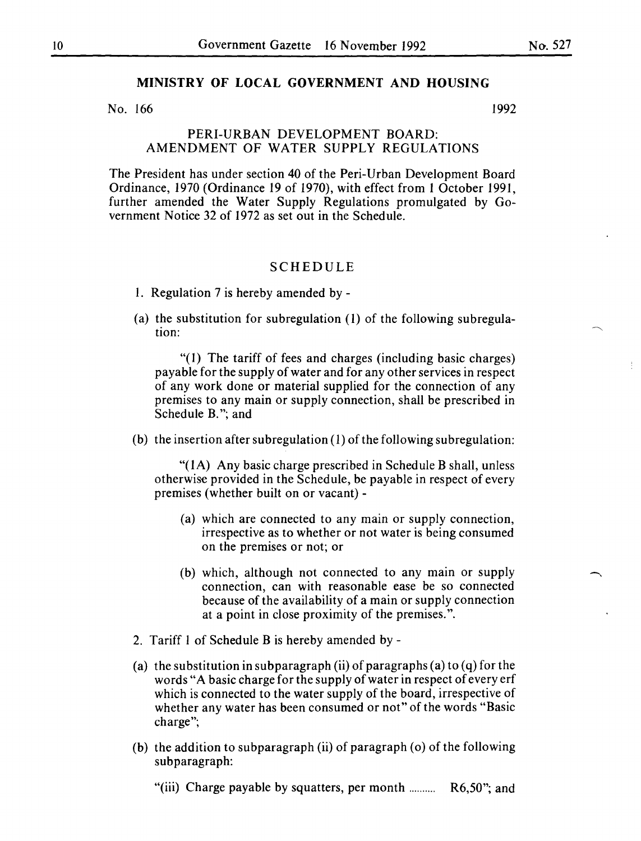#### **MINISTRY OF LOCAL GOVERNMENT AND HOUSING**

No. 166 1992

#### PERI-URBAN DEVELOPMENT BOARD: AMENDMENT OF WATER SUPPLY REGULATIONS

The President has under section 40 of the Peri-Urban Development Board Ordinance, 1970 (Ordinance 19 of 1970), with effect from 1 October 1991, further amended the Water Supply Regulations promulgated by Government Notice 32 of 1972 as set out in the Schedule.

#### SCHEDULE

- I. Regulation 7 is hereby amended by -
- (a) the substitution for subregulation  $(1)$  of the following subregulation:

"(I) The tariff of fees and charges (including basic charges) payable for the supply of water and for any other services in respect of any work done or material supplied for the connection of any premises to any main or supply connection, shall be prescribed in Schedule B."; and

(b) the insertion after subregulation  $(1)$  of the following subregulation:

"( 1 A) Any basic charge prescribed in Schedule **B** shall, unless otherwise provided in the Schedule, be payable in respect of every premises (whether built on or vacant)-

- (a) which are connected to any main or supply connection, irrespective as to whether or not water is being consumed on the premises or not; or
- (b) which, although not connected to any main or supply connection, can with reasonable ease be so connected because of the availability of a main or supply connection at a point in close proximity of the premises.".
- 2. Tariff I of Schedule B is hereby amended by-
- (a) the substitution in subparagraph (ii) of paragraphs (a) to (q) for the words "A basic charge for the supply of water in respect of every erf which is connected to the water supply of the board, irrespective of whether any water has been consumed or not" of the words "Basic charge";
- (b) the addition to subparagraph (ii) of paragraph ( $o$ ) of the following subparagraph:

"(iii) Charge payable by squatters, per month ........... R6,50"; and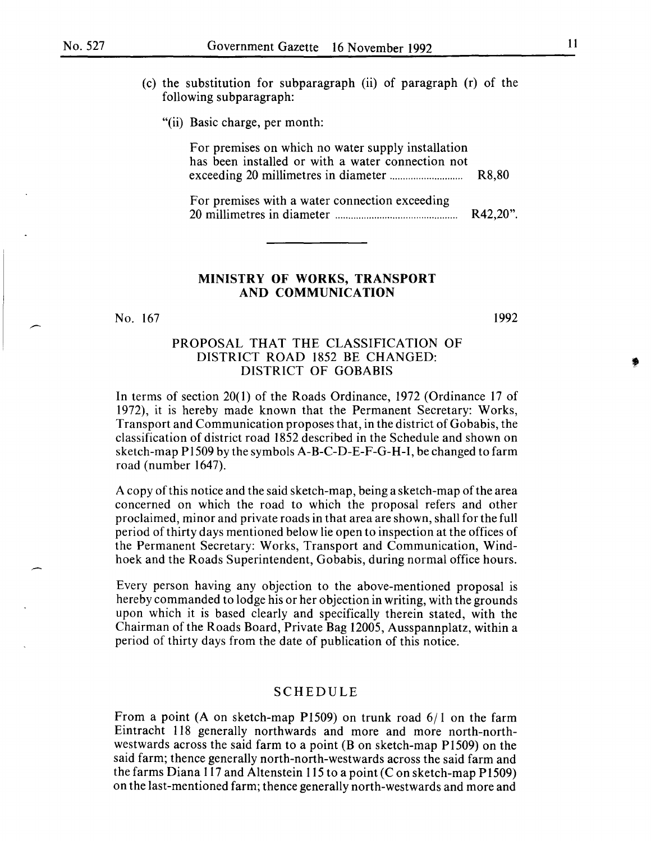- (c) the substitution for subparagraph (ii) of paragraph (r) of the following subparagraph:
	- "(ii) Basic charge, per month:

For premises on which no water supply installation has been installed or with a water connection not exceeding 20 millimetres in diameter ............................ R8,80

For premises with a water connection exceeding 20 millimetres in diameter ............................................... R42,20".

#### MINISTRY OF WORKS, TRANSPORT AND COMMUNICATION

No. 167

1992

#### PROPOSAL THAT THE CLASSIFICATION OF DISTRICT ROAD 1852 BE CHANGED: DISTRICT OF GOBABIS

In terms of section 20(1) of the Roads Ordinance, 1972 (Ordinance 17 of 1972), it is hereby made known that the Permanent Secretary: Works, Transport and Communication proposes that, in the district of Gobabis, the classification of district road 1852 described in the Schedule and shown on sketch-map P1509 by the symbols A-B-C-D-E-F-G-H-I, be changed to farm road (number 1647).

A copy of this notice and the said sketch-map, being a sketch-map of the area concerned on which the road to which the proposal refers and other proclaimed, minor and private roads in that area are shown, shall for the full period of thirty days mentioned below lie open to inspection at the offices of the Permanent Secretary: Works, Transport and Communication, Windhoek and the Roads Superintendent, Gobabis, during normal office hours.

Every person having any objection to the above-mentioned proposal is hereby commanded to lodge his or her objection in writing, with the grounds upon which it is based clearly and specifically therein stated, with the Chairman of the Roads Board, Private Bag 12005, Ausspannplatz, within a period of thirty days from the date of publication of this notice.

# SCHEDULE

From a point (A on sketch-map P1509) on trunk road  $6/1$  on the farm Eintracht 118 generally northwards and more and more north-northwestwards across the said farm to a point (B on sketch-map P1509) on the said farm; thence generally north-north-westwards across the said farm and the farms Diana 117 and Altenstein 115 to a point (C on sketch-map P1509) on the last-mentioned farm; thence generally north-westwards and more and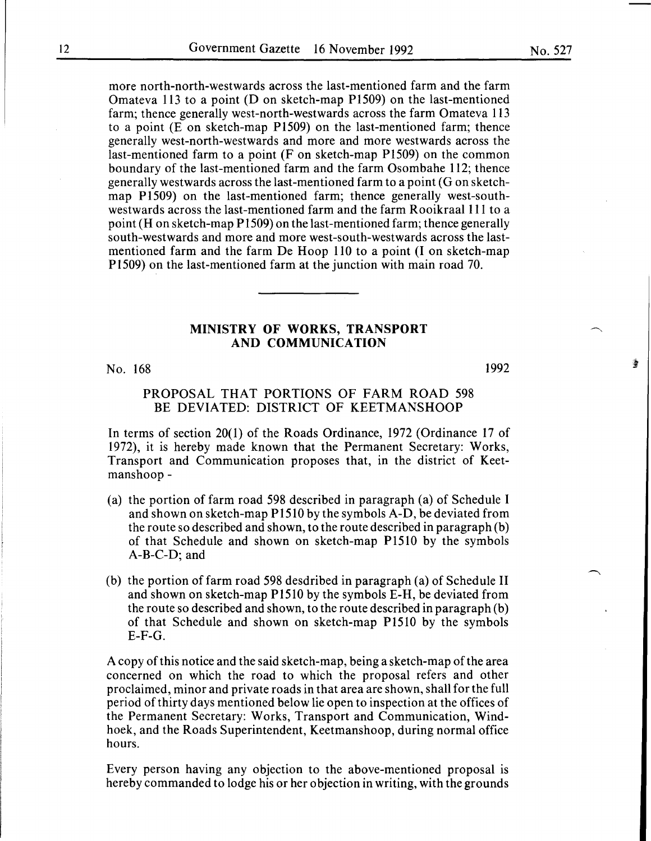more north-north-westwards across the last-mentioned farm and the farm Omateva 113 to a point (D on sketch-map P1509) on the last-mentioned farm; thence generally west-north-westwards across the farm Omateva 113 to a point (E on sketch-map P1509) on the last-mentioned farm; thence generally west-north-westwards and more and more westwards across the last-mentioned farm to a point (F on sketch-map P1509) on the common boundary of the last-mentioned farm and the farm Osombahe 112; thence generally westwards across the last-mentioned farm to a point (G on sketchmap P1509) on the last-mentioned farm; thence generally west-southwestwards across the last-mentioned farm and the farm Rooikraal 111 to a point (H on sketch-map P1509) on the last-mentioned farm; thence generally south-westwards and more and more west-south-westwards across the lastmentioned farm and the farm De Hoop 110 to a point (I on sketch-map P1509) on the last-mentioned farm at the junction with main road 70.

# MINISTRY OF WORKS, TRANSPORT AND COMMUNICATION

No. 168

1992

鲁

#### PROPOSAL THAT PORTIONS OF FARM ROAD 598 BE DEVIATED: DISTRICT OF KEETMANSHOOP

In terms of section 20(1) of the Roads Ordinance, 1972 (Ordinance 17 of 1972), it is hereby made known that the Permanent Secretary: Works, Transport and Communication proposes that, in the district of Keetmanshoop-

- (a) the portion of farm road 598 described in paragraph (a) of Schedule I and shown on sketch-map P1510 by the symbols A-D, be deviated from the route so described and shown, to the route described in paragraph (b) of that Schedule and shown on sketch-map P1510 by the symbols A-B-C-D; and
- (b) the portion of farm road 598 desdribed in paragraph (a) of Schedule II and shown on sketch-map P1510 by the symbols E-H, be deviated from the route so described and shown, to the route described in paragraph (b) of that Schedule and shown on sketch-map P1510 by the symbols  $E-F-G.$

A copy of this notice and the said sketch-map, being a sketch-map of the area concerned on which the road to which the proposal refers and other proclaimed, minor and private roads in that area are shown, shall for the full period of thirty days mentioned below lie open to inspection at the offices of the Permanent Secretary: Works, Transport and Communication, Windhoek, and the Roads Superintendent, Keetmanshoop, during normal office hours.

Every person having any objection to the above-mentioned proposal is hereby commanded to lodge his or her objection in writing, with the grounds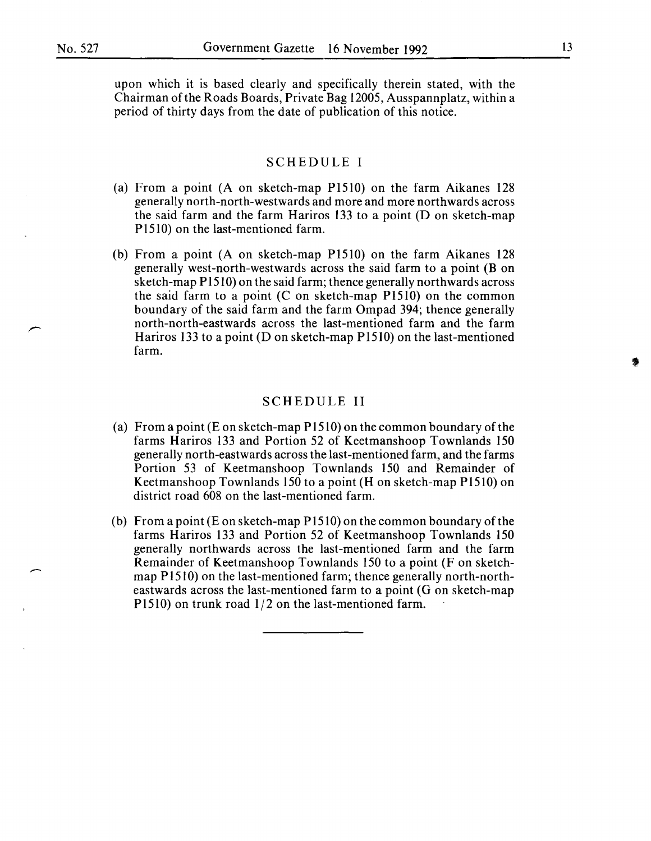upon which it is based clearly and specifically therein stated, with the Chairman of the Roads Boards, Private Bag 12005, Ausspannplatz, within a period of thirty days from the date of publication of this notice.

# SCHEDULE I

- (a) From a point (A on sketch-map Pl510) on the farm Aikanes 128 generally north-north-westwards and more and more northwards across the said farm and the farm Hariros 133 to a point (D on sketch-map P1510) on the last-mentioned farm.
- (b) From a point (A on sketch-map Pl510) on the farm Aikanes 128 generally west-north-westwards across the said farm to a point (B on sketch-map P1510) on the said farm; thence generally northwards across the said farm to a point (C on sketch-map P1510) on the common boundary of the said farm and the farm Ompad 394; thence generally north-north-eastwards across the last-mentioned farm and the farm Hariros 133 to a point (D on sketch-map  $P1510$ ) on the last-mentioned farm.

#### SCHEDULE II

- (a) From a point (E on sketch-map  $P1510$ ) on the common boundary of the farms Hariros 133 and Portion 52 of Keetmanshoop Townlands 150 generally north-eastwards across the last-mentioned farm, and the farms Portion 53 of Keetmanshoop Townlands 150 and Remainder of Keetmanshoop Townlands 150 to a point (H on sketch-map P1510) on district road 608 on the last-mentioned farm.
- (b) From a point  $(E \text{ on sketch-map } P1510)$  on the common boundary of the farms Hariros 133 and Portion 52 of Keetmanshoop Townlands 150 generally northwards across the last-mentioned farm and the farm Remainder of Keetmanshoop Townlands 150 to a point (F on sketchmap P1510) on the last-mentioned farm; thence generally north-northeastwards across the last-mentioned farm to a point (G on sketch-map P1510) on trunk road  $1/2$  on the last-mentioned farm.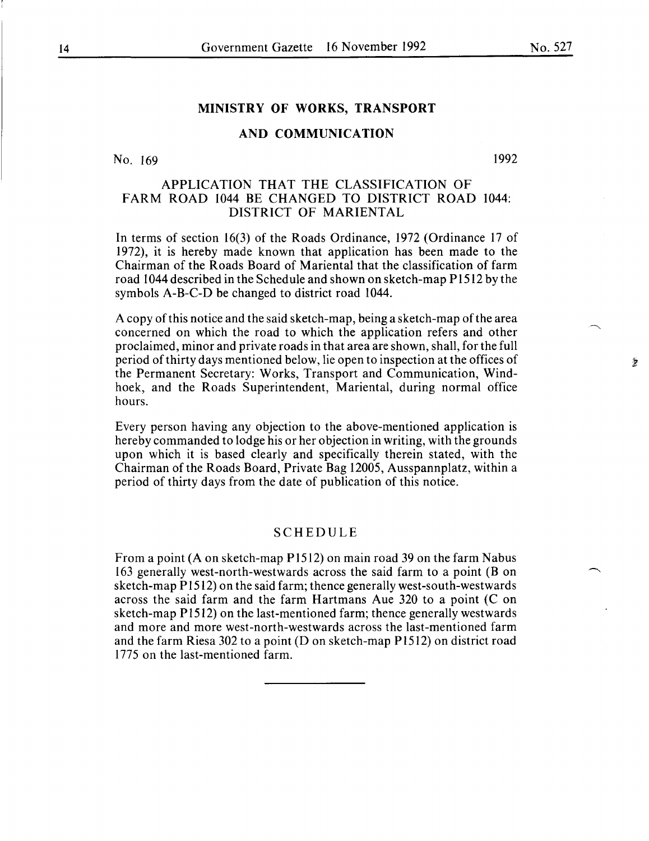$\frac{1}{2}$ 

# MINISTRY OF WORKS, TRANSPORT

# AND COMMUNICATION

No. 169

1992

# APPLICATION THAT THE CLASSIFICATION OF FARM ROAD 1044 BE CHANGED TO DISTRICT ROAD 1044: DISTRICT OF MARIENTAL

In terms of section 16(3) of the Roads Ordinance, 1972 (Ordinance 17 of 1972), it is hereby made known that application has been made to the Chairman of the Roads Board of Mariental that the classification of farm road 1044 described in the Schedule and shown on sketch-map Pl512 by the symbols A-B-C-D be changed to district road 1044.

A copy of this notice and the said sketch-map, being a sketch-map of the area concerned on which the road to which the application refers and other proclaimed, minor and private roads in that area are shown, shall, for the full period of thirty days mentioned below, lie open to inspection at the offices of the Permanent Secretary: Works, Transport and Communication, Windhoek, and the Roads Superintendent, Mariental, during normal office hours.

Every person having any objection to the above-mentioned application is hereby commanded to lodge his or her objection in writing, with the grounds upon which it is based clearly and specifically therein stated, with the Chairman of the Roads Board, Private Bag 12005, Ausspannplatz, within a period of thirty days from the date of publication of this notice.

#### SCHEDULE

From a point (A on sketch-map P1512) on main road 39 on the farm Nabus 163 generally west-north-westwards across the said farm to a point (B on sketch-map P 1512) on the said farm; thence generally west-south-westwards across the said farm and the farm Hartmans Aue 320 to a point (C on sketch-map P1512) on the last-mentioned farm; thence generally westwards and more and more west-north-westwards across the last-mentioned farm and the farm Riesa 302 to a point (D on sketch-map  $P1512$ ) on district road 1775 on the last-mentioned farm.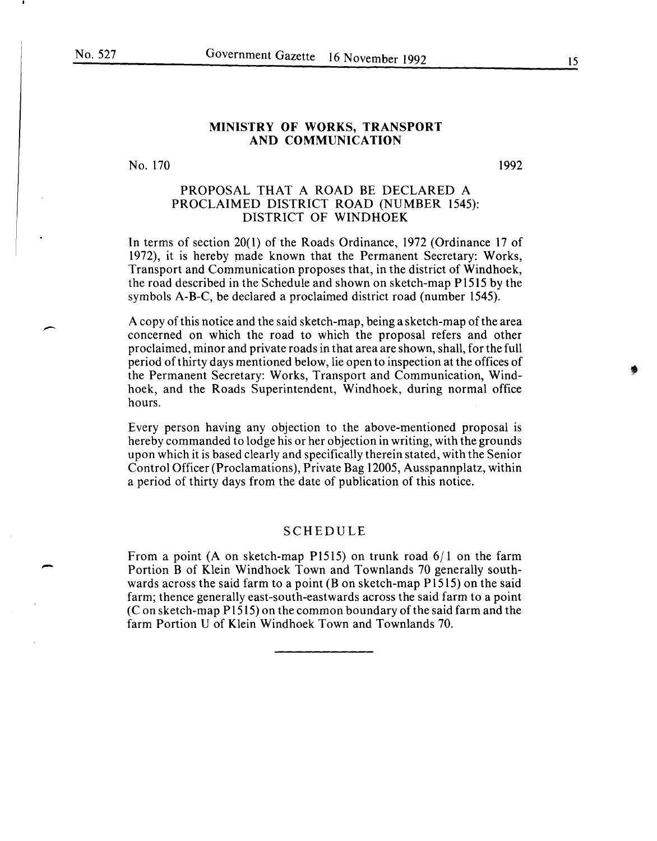-

#### MINISTRY OF WORKS, TRANSPORT AND COMMUNICATION

No. 170

1992

# PROPOSAL THAT A ROAD BE DECLARED A PROCLAIMED DISTRICT ROAD (NUMBER 1545): DISTRICT OF WINDHOEK

In terms of section 20( 1) of the Roads Ordinance, 1972 (Ordinance 17 of 1972), it is hereby made known that the Permanent Secretary: Works, Transport and Communication proposes that, in the district of Windhoek, the road described in the Schedule and shown on sketch-map P1515 by the symbols A-B-C, be declared a proclaimed district road (number 1545).

A copy of this notice and the said sketch-map, being a sketch-map of the area concerned on which the road to which the proposal refers and other proclaimed, minor and private roads in that area are shown, shall, for the full period ofthirty days mentioned below, lie open to inspection at the offices of the Permanent Secretary: Works, Transport and Communication, Windhoek, and the Roads Superintendent, Windhoek, during normal office hours.

Every person having any objection to the above-mentioned proposal is hereby commanded to lodge his or her objection in writing, with the grounds upon which it is based clearly and specifically therein stated, with the Senior Control Officer (Proclamations), Private Bag 12005, Ausspannplatz, within a period of thirty days from the date of publication of this notice.

#### SCHEDULE

From a point (A on sketch-map P1515) on trunk road 6/1 on the farm Portion B of Klein Windhoek Town and Townlands 70 generally southwards across the said farm to a point (B on sketch-map P1515) on the said farm; thence generally east-south-eastwards across the said farm to a point (Con sketch-map P1515) on the common boundary of the said farm and the farm Portion U of Klein Windhoek Town and Townlands 70.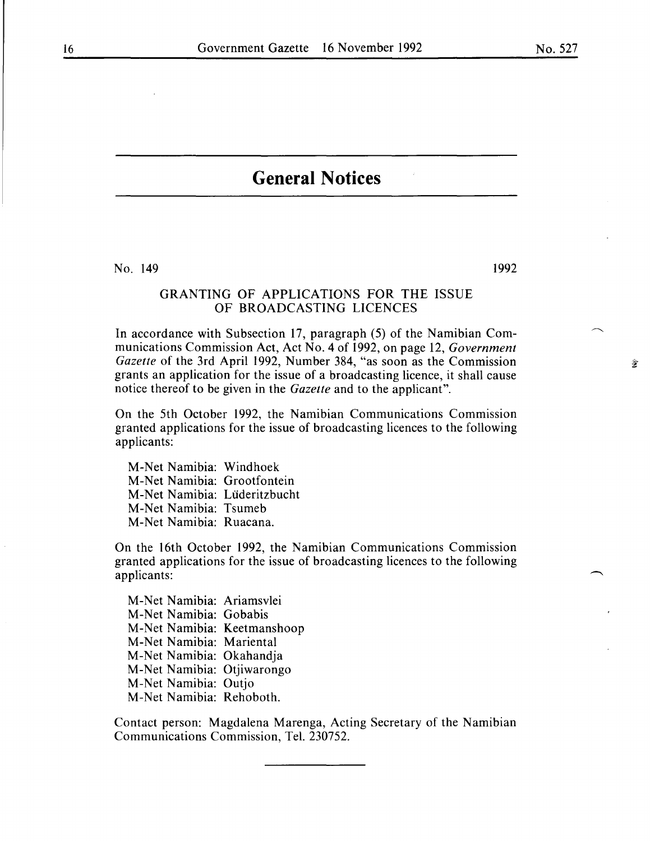$\hat{\mathcal{L}}$ 

# **General Notices**

No. 149

# 1992

# GRANTING OF APPLICATIONS FOR THE ISSUE OF BROADCASTING LICENCES

In accordance with Subsection 17, paragraph (5) of the Namibian Communications Commission Act, Act No.4 of 1992, on page 12, *Government Gazette* of the 3rd April 1992, Number 384, "as soon as the Commission grants an application for the issue of a broadcasting licence, it shall cause notice thereof to be given in the *Gazette* and to the applicant".

On the 5th October 1992, the Namibian Communications Commission granted applications for the issue of broadcasting licences to the following applicants:

M-Net Namibia: Windhoek M-Net Namibia: Grootfontein M-Net Namibia: Luderitzbucht M-Net Namibia: Tsumeb M-Net Namibia: Ruacana.

On the 16th October 1992, the Namibian Communications Commission granted applications for the issue of broadcasting licences to the following applicants:

M-Net Namibia: Ariamsvlei M-Net Namibia: Gobabis M-Net Namibia: Keetmanshoop M-Net Namibia: Mariental M-Net Namibia: Okahandja M-Net Namibia: Otjiwarongo M-Net Namibia: Outjo M-Net Namibia: Rehoboth.

Contact person: Magdalena Marenga, Acting Secretary of the Namibian Communications Commission, Tel. 230752.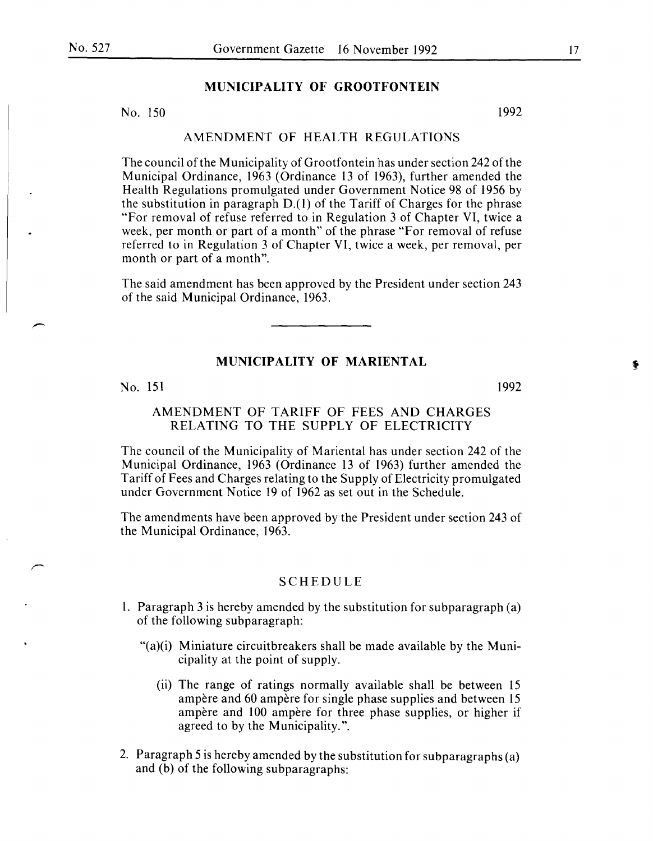# **MUNICIPALITY OF GROOTFONTEIN**

No. 150 1992

#### AMENDMENT OF HEALTH REGULATIONS

The council of the Municipality of Grootfontein has under section 242 of the Municipal Ordinance, 1963 (Ordinance 13 of 1963), further amended the Health Regulations promulgated under Government Notice 98 of 1956 by the substitution in paragraph D.(l) of the Tariff of Charges for the phrase "For removal of refuse referred to in Regulation 3 of Chapter VI, twice a week, per month or part of a month" of the phrase "For removal of refuse referred to in Regulation 3 of Chapter VI, twice a week, per removal, per month or part of a month".

The said amendment has been approved by the President under section 243 of the said Municipal Ordinance, 1963.

# **MUNICIPALITY OF MARIENTAL**

#### No. 151

# AMENDMENT OF TARIFF OF FEES AND CHARGES RELATING TO THE SUPPLY OF ELECTRICITY

The council of the Municipality of Mariental has under section 242 of the Municipal Ordinance, 1963 (Ordinance 13 of 1963) further amended the Tariff of Fees and Charges relating to the Supply of Electricity promulgated under Government Notice 19 of 1962 as set out in the Schedule.

The amendments have been approved by the President under section 243 of the Municipal Ordinance, 1963.

#### SCHEDULE

- 1. Paragraph 3 is hereby amended by the substitution for subparagraph (a) of the following subparagraph:
	- " $(a)(i)$  Miniature circuitbreakers shall be made available by the Municipality at the point of supply.
		- (ii) The range of ratings normally available shall be between 15 ampère and 60 ampère for single phase supplies and between 15 ampere and 100 ampere for three phase supplies, or higher if agreed to by the Municipality.".
- 2. Paragraph 5 is hereby amended by the substitution for subparagraphs (a) and (b) of the following subparagraphs:

1992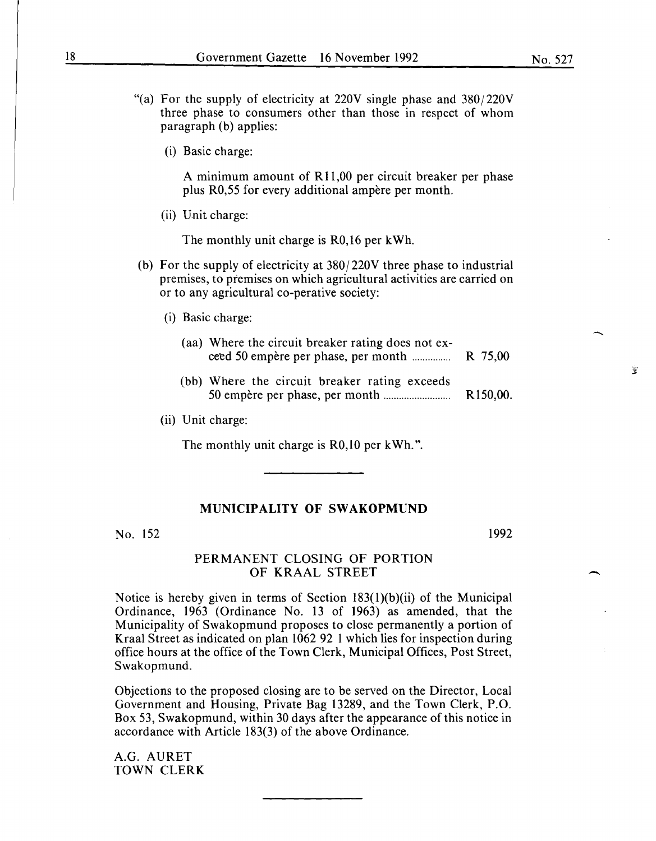- "(a) For the supply of electricity at  $220V$  single phase and  $380/220V$ three phase to consumers other than those in respect of whom paragraph (b) applies:
	- (i) Basic charge:

A minimum amount of R 11,00 per circuit breaker per phase plus R0,55 for every additional ampere per month.

(ii) Unit charge:

The monthly unit charge is R0,16 per kWh.

- (b) For the supply of electricity at 380/220V three phase to industrial premises, to premises on which agricultural activities are carried on or to any agricultural co-perative society:
	- (i) Basic charge:
		- (aa) Where the circuit breaker rating does not exceed 50 empere per phase, per month ............... R 75,00
		- (bb) Where the circuit breaker rating exceeds 50 empere per phase, per month.......................... Rl50,00.
	- (ii) Unit charge:

The monthly unit charge is R0,10 per kWh.".

# **MUNICIPALITY OF SWAKOPMUND**

No. 152

1992

-

 $\mathcal{L}$ 

## PERMANENT CLOSING OF PORTION OF KRAAL STREET

Notice is hereby given in terms of Section 183(1)(b)(ii) of the Municipal Ordinance, 1963 (Ordinance No. 13 of 1963) as amended, that the Municipality of Swakopmund proposes to close permanently a portion of Kraal Street as indicated on plan 1062 92 1 which lies for inspection during office hours at the office of the Town Clerk, Municipal Offices, Post Street, Swakopmund.

Objections to the proposed closing are to be served on the Director, Local Government and Housing, Private Bag 13289, and the Town Clerk, P.O. Box 53, Swakopmund, within 30 days after the appearance of this notice in accordance with Article 183(3) of the above Ordinance.

A.G. AURET TOWN CLERK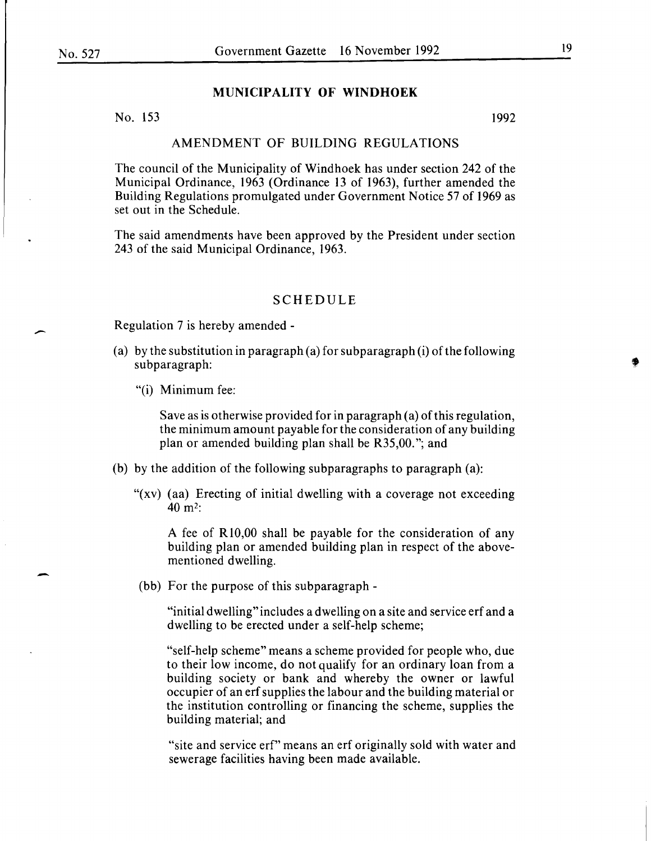-

-

#### **MUNICIPALITY OF WINDHOEK**

No. 153 1992

#### AMENDMENT OF BUILDING REGULATIONS

The council of the Municipality of Windhoek has under section 242 of the Municipal Ordinance, 1963 (Ordinance 13 of 1963), further amended the Building Regulations promulgated under Government Notice 57 of 1969 as set out in the Schedule.

The said amendments have been approved by the President under section 243 of the said Municipal Ordinance, 1963.

#### SCHEDULE

Regulation 7 is hereby amended-

- (a) by the substitution in paragraph (a) for subparagraph (i) of the following subparagraph:
	- "(i) Minimum fee:

Save as is otherwise provided for in paragraph (a) of this regulation, the minimum amount payable for the consideration of any building plan or amended building plan shall be R35,00. "; and

- (b) by the addition of the following subparagraphs to paragraph  $(a)$ :
	- "(xv) (aa) Erecting of initial dwelling with a coverage not exceeding 40m2:

A fee of R 10,00 shall be payable for the consideration of any building plan or amended building plan in respect of the abovementioned dwelling.

(bb) For the purpose of this subparagraph-

"initial dwelling" includes a dwelling on a site and service erf and a dwelling to be erected under a self-help scheme;

"self-help scheme" means a scheme provided for people who, due to their low income, do not qualify for an ordinary loan from a building society or bank and whereby the owner or lawful occupier of an erf supplies the labour and the building material or the institution controlling or financing the scheme, supplies the building material; and

"site and service erf" means an erf originally sold with water and sewerage facilities having been made available.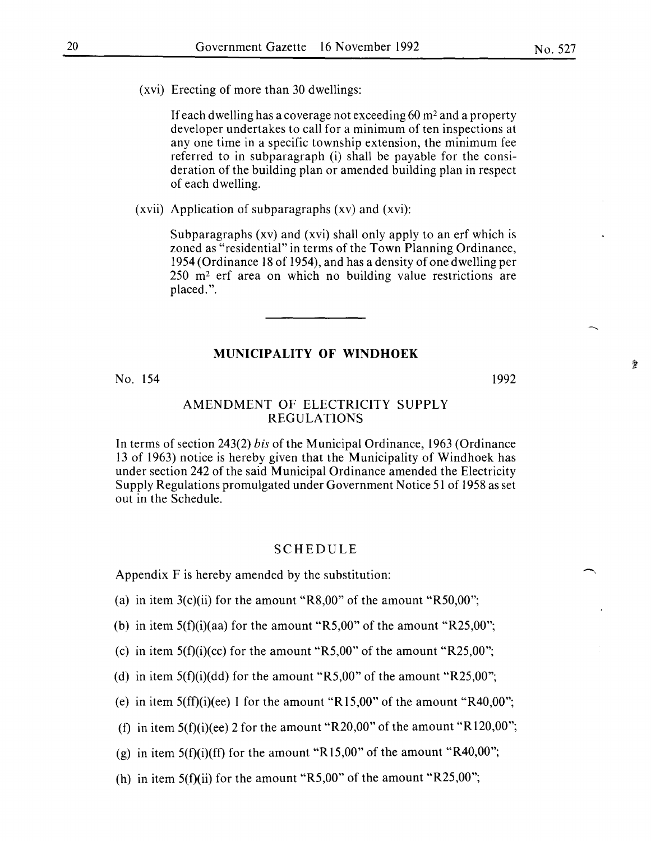(xvi) Erecting of more than 30 dwellings:

If each dwelling has a coverage not exceeding  $60 \text{ m}^2$  and a property developer undertakes to call for a minimum of ten inspections at any one time in a specific township extension, the minimum fee referred to in subparagraph (i) shall be payable for the consideration of the building plan or amended building plan in respect of each dwelling.

(xvii) Application of subparagraphs (xv) and (xvi):

Subparagraphs (xv) and (xvi) shall only apply to an erf which is zoned as "residential" in terms of the Town Planning Ordinance, 1954 (Ordinance 18 of 1954), and has a density of one dwelling per 250 m2 erf area on which no building value restrictions are placed.".

# **MUNICIPALITY OF WINDHOEK**

No. 154

#### 1992

參

#### AMENDMENT OF ELECTRICITY SUPPLY REGULATIONS

In terms of section 243(2) *bis* of the Municipal Ordinance, 1963 (Ordinance 13 of 1963) notice is hereby given that the Municipality of Windhoek has under section 242 of the said Municipal Ordinance amended the Electricity Supply Regulations promulgated under Government Notice 51 of 1958 as set out in the Schedule.

#### SCHEDULE

Appendix F is hereby amended by the substitution:

(a) in item  $3(c)$ (ii) for the amount "R8,00" of the amount "R50,00";

(b) in item  $5(f)(i)(aa)$  for the amount "R5,00" of the amount "R25,00";

- (c) in item  $5(f)(i)(cc)$  for the amount "R5,00" of the amount "R25,00";
- (d) in item  $5(f)(i)(dd)$  for the amount "R5,00" of the amount "R25,00";
- (e) in item  $5(f)(i)(ee)$  1 for the amount "R15,00" of the amount "R40,00";

(f) in item  $5(f)(i)(ee)$  2 for the amount "R20,00" of the amount "R120,00";

(g) in item  $5(f)(i)(ff)$  for the amount "R15,00" of the amount "R40,00";

(h) in item 5(f)(ii) for the amount "R5,00" of the amount "R25,00";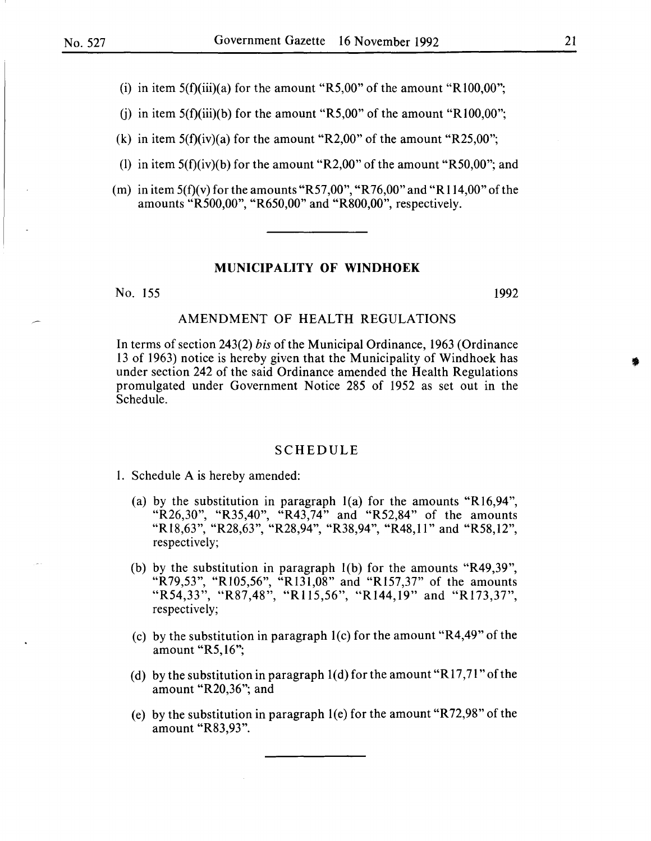(i) in item  $5(f)(iii)(a)$  for the amount "R5,00" of the amount "R100,00";

(i) in item  $5(f)(iii)(b)$  for the amount "R5,00" of the amount "R100,00";

(k) in item  $5(f)(iv)(a)$  for the amount "R2,00" of the amount "R25,00";

- (1) in item  $5(f)(iv)(b)$  for the amount "R2,00" of the amount "R50,00"; and
- (m) in item  $5(f)(v)$  for the amounts "R57,00", "R76,00" and "R114,00" of the amounts "R500,00", "R650,00" and "R800,00", respectively.

#### **MUNICIPALITY OF WINDHOEK**

No. 155 1992

#### AMENDMENT OF HEALTH REGULATIONS

In terms of section 243(2) *bis* of the Municipal Ordinance, 1963 (Ordinance 13 of 1963) notice is hereby given that the Municipality of Windhoek has under section 242 of the said Ordinance amended the Health Regulations promulgated under Government Notice 285 of 1952 as set out in the Schedule.

#### SCHEDULE

I. Schedule A is hereby amended:

- (a) by the substitution in paragraph 1(a) for the amounts "R16,94", "R26,30", "R35,40", "R43,74" and "R52,84" of the amounts "R18,63", "R28,63", "R28,94", "R38,94", "R48,11" and "R58,12", respectively;
- (b) by the substitution in paragraph 1(b) for the amounts "R49,39", "R79,53", "Rl05,56", "Rl31,08" and "R157,37" of the amounts "R54,33", "R87,48", "R115,56", "R144,19" and "R173,37", respectively;
- (c) by the substitution in paragraph  $1(c)$  for the amount "R4,49" of the amount "R5, 16";
- (d) by the substitution in paragraph  $1(d)$  for the amount "R17,71" of the amount "R20,36"; and
- (e) by the substitution in paragraph 1(e) for the amount "R72,98" of the amount "R83,93".